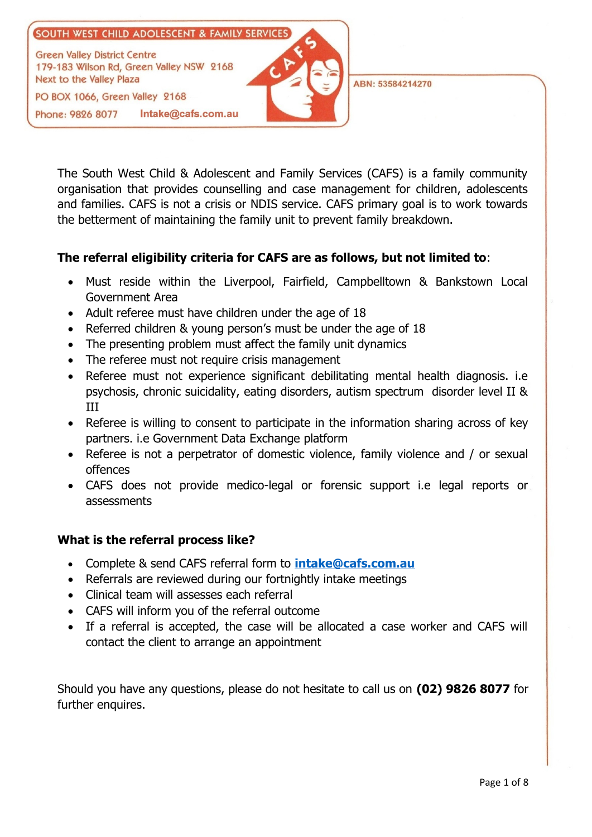

ABN: 53584214270

The South West Child & Adolescent and Family Services (CAFS) is a family community organisation that provides counselling and case management for children, adolescents and families. CAFS is not a crisis or NDIS service. CAFS primary goal is to work towards the betterment of maintaining the family unit to prevent family breakdown.

## **The referral eligibility criteria for CAFS are as follows, but not limited to**:

- Must reside within the Liverpool, Fairfield, Campbelltown & Bankstown Local Government Area
- Adult referee must have children under the age of 18
- Referred children & young person's must be under the age of 18
- The presenting problem must affect the family unit dynamics
- The referee must not require crisis management
- Referee must not experience significant debilitating mental health diagnosis. i.e psychosis, chronic suicidality, eating disorders, autism spectrum disorder level II & III
- Referee is willing to consent to participate in the information sharing across of key partners. i.e Government Data Exchange platform
- Referee is not a perpetrator of domestic violence, family violence and / or sexual offences
- CAFS does not provide medico-legal or forensic support i.e legal reports or assessments

## **What is the referral process like?**

- Complete & send CAFS referral form to **[intake@cafs.com.au](mailto:intake@cafs.com.au)**
- Referrals are reviewed during our fortnightly intake meetings
- Clinical team will assesses each referral
- CAFS will inform you of the referral outcome
- If a referral is accepted, the case will be allocated a case worker and CAFS will contact the client to arrange an appointment

Should you have any questions, please do not hesitate to call us on **(02) 9826 8077** for further enquires.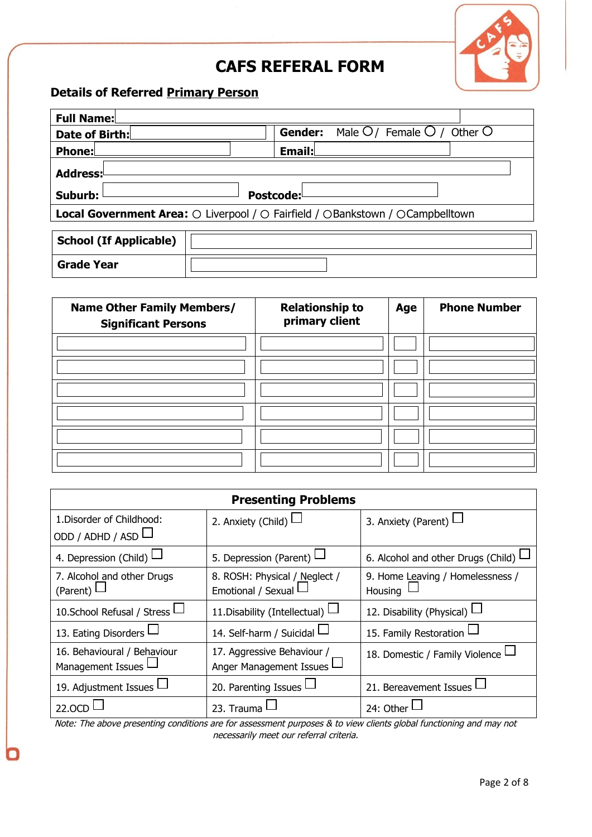

# **CAFS REFERAL FORM**

## **Details of Referred Primary Person**

| <b>Full Name:</b>                                                                                              |                                                 |  |
|----------------------------------------------------------------------------------------------------------------|-------------------------------------------------|--|
| Date of Birth:                                                                                                 | Male $O/$ Female $O/$ Other O<br><b>Gender:</b> |  |
| <b>Phone:</b>                                                                                                  | Email:                                          |  |
| Address:                                                                                                       |                                                 |  |
| Suburb:<br>Postcode:                                                                                           |                                                 |  |
| <b>Local Government Area:</b> $\odot$ Liverpool / $\odot$ Fairfield / $\odot$ Bankstown / $\odot$ Campbelltown |                                                 |  |
|                                                                                                                |                                                 |  |
| <b>School (If Applicable)</b>                                                                                  |                                                 |  |
| <b>Grade Year</b>                                                                                              |                                                 |  |

| <b>Name Other Family Members/</b><br><b>Significant Persons</b> | <b>Relationship to</b><br>primary client | Age | <b>Phone Number</b> |
|-----------------------------------------------------------------|------------------------------------------|-----|---------------------|
|                                                                 |                                          |     |                     |
|                                                                 |                                          |     |                     |
|                                                                 |                                          |     |                     |
|                                                                 |                                          |     |                     |
|                                                                 |                                          |     |                     |
|                                                                 |                                          |     |                     |

| <b>Presenting Problems</b>         |                                 |                                           |
|------------------------------------|---------------------------------|-------------------------------------------|
| 1. Disorder of Childhood:          | 2. Anxiety (Child) L            | 3. Anxiety (Parent) $\Box$                |
| ODD / ADHD / ASD $\Box$            |                                 |                                           |
| 4. Depression (Child) $\Box$       | 5. Depression (Parent) $\Box$   | 6. Alcohol and other Drugs (Child) $\Box$ |
| 7. Alcohol and other Drugs         | 8. ROSH: Physical / Neglect /   | 9. Home Leaving / Homelessness /          |
| (Parent) $L$                       | Emotional / Sexual L            | Housing                                   |
| 10. School Refusal / Stress $\Box$ | 11. Disability (Intellectual)   | 12. Disability (Physical) $\vdash$        |
| 13. Eating Disorders L             | 14. Self-harm / Suicidal $\Box$ | 15. Family Restoration L                  |
| 16. Behavioural / Behaviour        | 17. Aggressive Behaviour /      | 18. Domestic / Family Violence —          |
| Management Issues l                | Anger Management Issues I       |                                           |
| 19. Adjustment Issues              | 20. Parenting Issues L          | 21. Bereavement Issues                    |
| 22.OCD                             | 23. Trauma                      | 24: Other $\Box$                          |

Note: The above presenting conditions are for assessment purposes & to view clients global functioning and may not necessarily meet our referral criteria.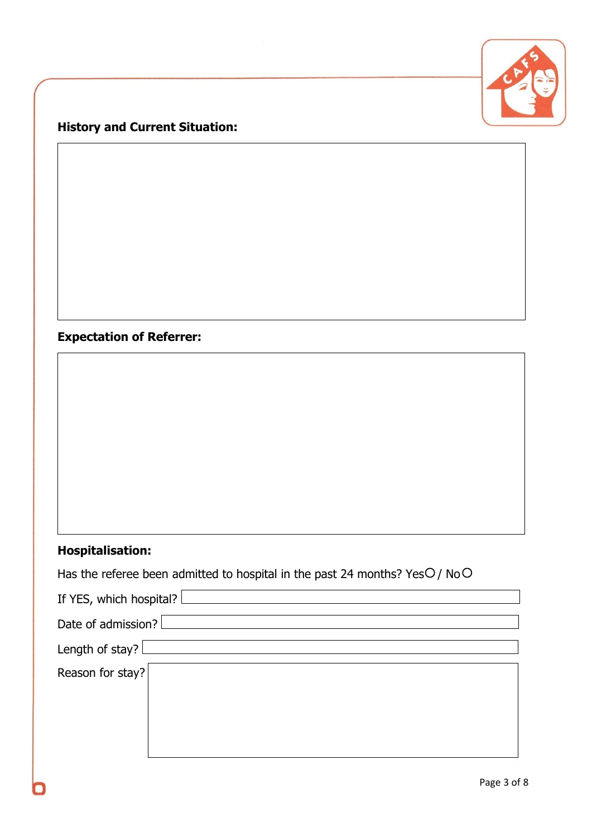

# **History and Current Situation:**

# **Expectation of Referrer:**

# **Hospitalisation:**

|  | Has the referee been admitted to hospital in the past 24 months? Yes $O/$ No $O$ |
|--|----------------------------------------------------------------------------------|
|--|----------------------------------------------------------------------------------|

| If YES, which hospital?   |  |
|---------------------------|--|
|                           |  |
| Date of admission?        |  |
|                           |  |
| Length of stay? $\lfloor$ |  |
|                           |  |
| Reason for stay?          |  |
|                           |  |
|                           |  |
|                           |  |
|                           |  |
|                           |  |
|                           |  |
|                           |  |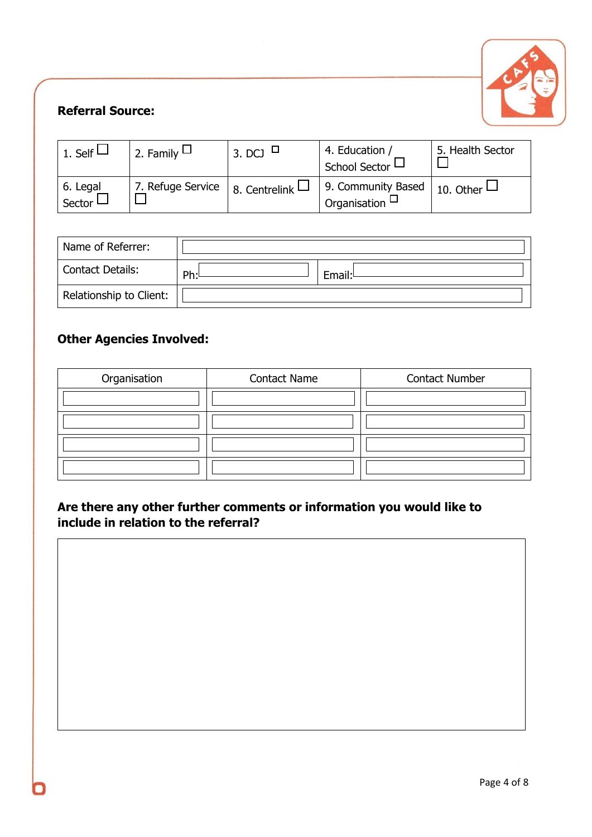

## **Referral Source:**

| 1. Self $\vdash$   | 2. Family $\Box$  | 3. DCJ          | 4. Education /<br>School Sector –         | 5. Health Sector |
|--------------------|-------------------|-----------------|-------------------------------------------|------------------|
| 6. Legal<br>Sector | 7. Refuge Service | 8. Centrelink L | 9. Community Based<br>Organisation $\Box$ | 10. Other $\Box$ |

| Name of Referrer:       |     |        |
|-------------------------|-----|--------|
| Contact Details:        | Ph: | Email: |
| Relationship to Client: |     |        |

## **Other Agencies Involved:**

| Organisation | <b>Contact Name</b> | <b>Contact Number</b> |
|--------------|---------------------|-----------------------|
|              |                     |                       |
|              |                     |                       |
|              |                     |                       |
|              |                     |                       |

## **Are there any other further comments or information you would like to include in relation to the referral?**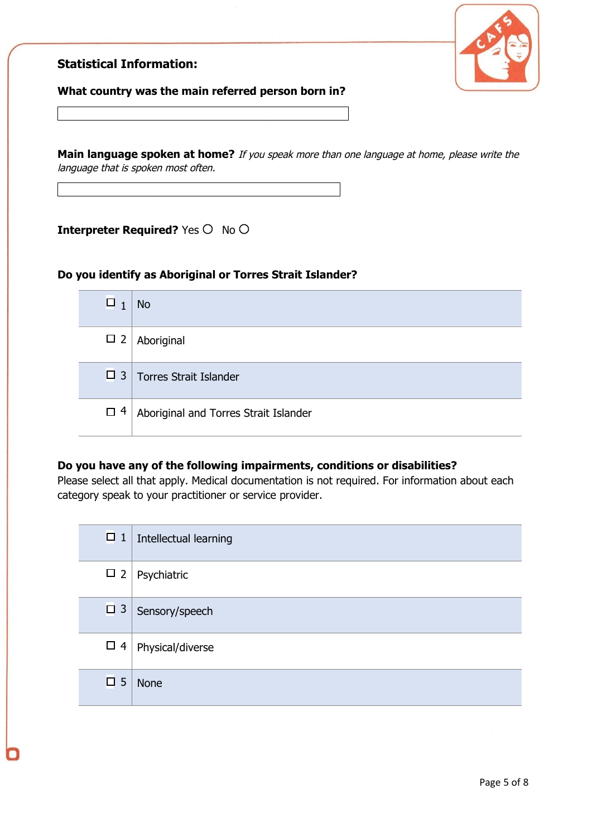

#### **Statistical Information:**

#### **What country was the main referred person born in?**

**Main language spoken at home?** If you speak more than one language at home, please write the language that is spoken most often.

**Interpreter Required?** Yes  $\circ$  No  $\circ$ 

#### **Do you identify as Aboriginal or Torres Strait Islander?**

| $\Box$   | <b>No</b>                             |
|----------|---------------------------------------|
| $\Box$ 2 | Aboriginal                            |
|          | $\Box$ 3   Torres Strait Islander     |
| $\Box$ 4 | Aboriginal and Torres Strait Islander |

#### **Do you have any of the following impairments, conditions or disabilities?**

Please select all that apply. Medical documentation is not required. For information about each category speak to your practitioner or service provider.

| $\Box$ 1    | Intellectual learning |
|-------------|-----------------------|
| $\Box$ 2    | Psychiatric           |
| $\Box$ 3    | Sensory/speech        |
| $\Box$      | Physical/diverse      |
| $\square$ 5 | <b>None</b>           |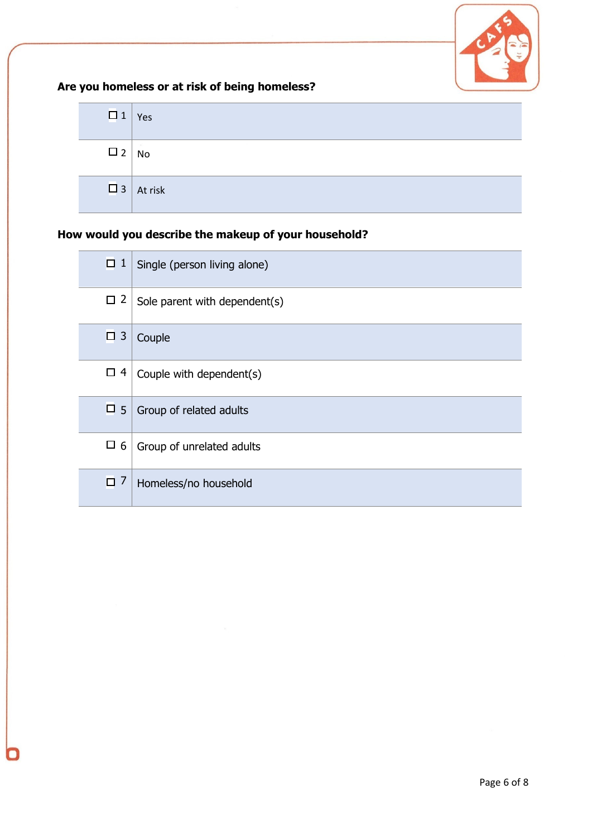

## **Are you homeless or at risk of being homeless?**

| $\Box$ 1    | Yes              |
|-------------|------------------|
| $\square$ 2 | $\sim$<br>No     |
|             | $\Box$ 3 At risk |

## **How would you describe the makeup of your household?**

| $\mathbf{1}$<br>□   | Single (person living alone)  |
|---------------------|-------------------------------|
| $\square$ 2         | Sole parent with dependent(s) |
| $\overline{3}$<br>0 | Couple                        |
| $\Box$              | Couple with dependent(s)      |
| $\square$ 5         | Group of related adults       |
| $\square$ 6         | Group of unrelated adults     |
| 7<br>$\Box$         | Homeless/no household         |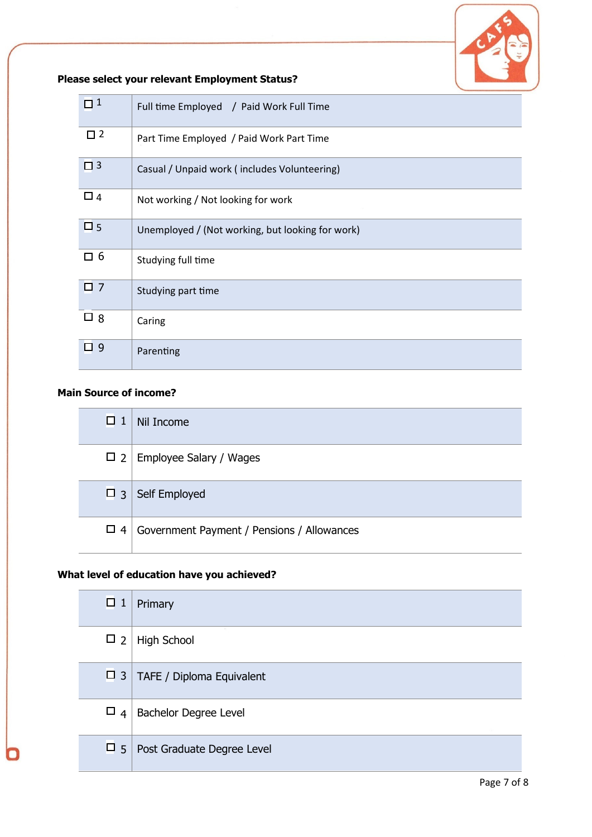

## **Please select your relevant Employment Status?**

| $\Box$ 1    | Full time Employed / Paid Work Full Time         |
|-------------|--------------------------------------------------|
| $\square$ 2 | Part Time Employed / Paid Work Part Time         |
| $\Box$ 3    | Casual / Unpaid work (includes Volunteering)     |
| $\square$ 4 | Not working / Not looking for work               |
| $\square$ 5 | Unemployed / (Not working, but looking for work) |
| □ 6         | Studying full time                               |
| $\square$ 7 | Studying part time                               |
| $\square$ 8 | Caring                                           |
| $\Box$ 9    | Parenting                                        |

## **Main Source of income?**

| $\Box$ 1 | Nil Income                                 |
|----------|--------------------------------------------|
| $\Box$ 2 | Employee Salary / Wages                    |
| $\Box$ 3 | Self Employed                              |
| $\Box$ 4 | Government Payment / Pensions / Allowances |

## **What level of education have you achieved?**

| $\Box$ 1    | Primary                    |
|-------------|----------------------------|
| $\square$ 2 | (4)<br><b>High School</b>  |
| $\Box$ 3    | TAFE / Diploma Equivalent  |
| $\Box$ 4    | Bachelor Degree Level      |
| $\Box$ 5    | Post Graduate Degree Level |